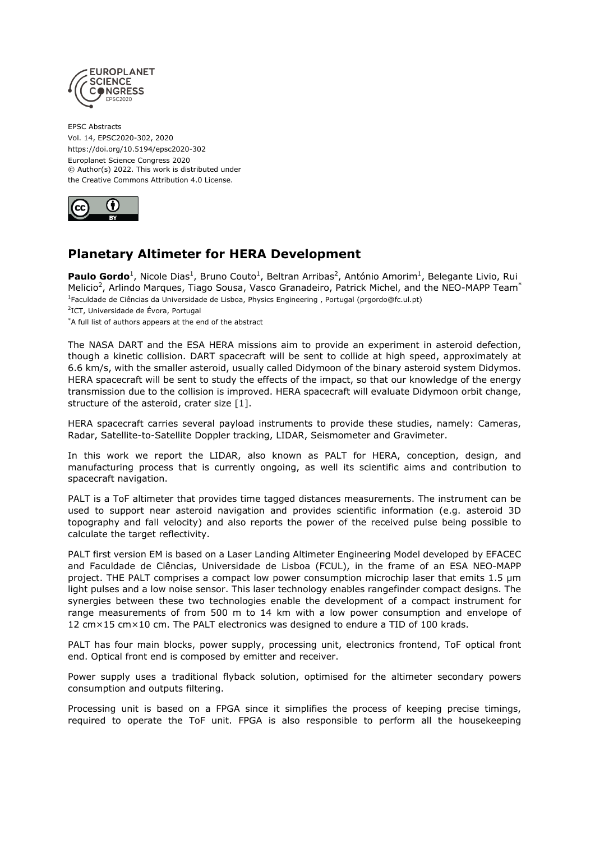

EPSC Abstracts Vol. 14, EPSC2020-302, 2020 https://doi.org/10.5194/epsc2020-302 Europlanet Science Congress 2020 © Author(s) 2022. This work is distributed under the Creative Commons Attribution 4.0 License.



## **Planetary Altimeter for HERA Development**

Paulo Gordo<sup>1</sup>, Nicole Dias<sup>1</sup>, Bruno Couto<sup>1</sup>, Beltran Arribas<sup>2</sup>, António Amorim<sup>1</sup>, Belegante Livio, Rui Melicio<sup>2</sup>, Arlindo Marques, Tiago Sousa, Vasco Granadeiro, Patrick Michel, and the NEO-MAPP Team<sup>\*</sup> <sup>1</sup> Faculdade de Ciências da Universidade de Lisboa, Physics Engineering, Portugal (prgordo@fc.ul.pt) <sup>2</sup>ICT, Universidade de Évora, Portugal \*A full list of authors appears at the end of the abstract

The NASA DART and the ESA HERA missions aim to provide an experiment in asteroid defection, though a kinetic collision. DART spacecraft will be sent to collide at high speed, approximately at 6.6 km/s, with the smaller asteroid, usually called Didymoon of the binary asteroid system Didymos. HERA spacecraft will be sent to study the effects of the impact, so that our knowledge of the energy transmission due to the collision is improved. HERA spacecraft will evaluate Didymoon orbit change, structure of the asteroid, crater size [1].

HERA spacecraft carries several payload instruments to provide these studies, namely: Cameras, Radar, Satellite-to-Satellite Doppler tracking, LIDAR, Seismometer and Gravimeter.

In this work we report the LIDAR, also known as PALT for HERA, conception, design, and manufacturing process that is currently ongoing, as well its scientific aims and contribution to spacecraft navigation.

PALT is a ToF altimeter that provides time tagged distances measurements. The instrument can be used to support near asteroid navigation and provides scientific information (e.g. asteroid 3D topography and fall velocity) and also reports the power of the received pulse being possible to calculate the target reflectivity.

PALT first version EM is based on a Laser Landing Altimeter Engineering Model developed by EFACEC and Faculdade de Ciências, Universidade de Lisboa (FCUL), in the frame of an ESA NEO-MAPP project. THE PALT comprises a compact low power consumption microchip laser that emits 1.5 µm light pulses and a low noise sensor. This laser technology enables rangefinder compact designs. The synergies between these two technologies enable the development of a compact instrument for range measurements of from 500 m to 14 km with a low power consumption and envelope of 12 cm×15 cm×10 cm. The PALT electronics was designed to endure a TID of 100 krads.

PALT has four main blocks, power supply, processing unit, electronics frontend, ToF optical front end. Optical front end is composed by emitter and receiver.

Power supply uses a traditional flyback solution, optimised for the altimeter secondary powers consumption and outputs filtering.

Processing unit is based on a FPGA since it simplifies the process of keeping precise timings, required to operate the ToF unit. FPGA is also responsible to perform all the housekeeping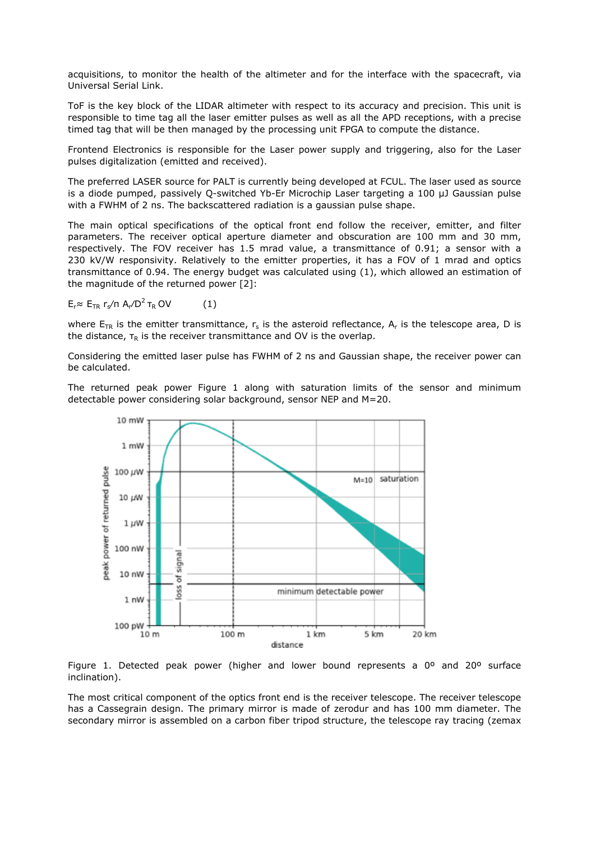acquisitions, to monitor the health of the altimeter and for the interface with the spacecraft, via Universal Serial Link.

ToF is the key block of the LIDAR altimeter with respect to its accuracy and precision. This unit is responsible to time tag all the laser emitter pulses as well as all the APD receptions, with a precise timed tag that will be then managed by the processing unit FPGA to compute the distance.

Frontend Electronics is responsible for the Laser power supply and triggering, also for the Laser pulses digitalization (emitted and received).

The preferred LASER source for PALT is currently being developed at FCUL. The laser used as source is a diode pumped, passively Q-switched Yb-Er Microchip Laser targeting a 100 μJ Gaussian pulse with a FWHM of 2 ns. The backscattered radiation is a gaussian pulse shape.

The main optical specifications of the optical front end follow the receiver, emitter, and filter parameters. The receiver optical aperture diameter and obscuration are 100 mm and 30 mm, respectively. The FOV receiver has 1.5 mrad value, a transmittance of 0.91; a sensor with a 230 kV/W responsivity. Relatively to the emitter properties, it has a FOV of 1 mrad and optics transmittance of 0.94. The energy budget was calculated using (1), which allowed an estimation of the magnitude of the returned power [2]:

 $E_r$ ≈  $E_{TR}$  r<sub>s</sub>/π A<sub>r</sub>/D<sup>2</sup> τ<sub>R</sub> OV (1)

where  $\mathsf{E}_\mathsf{TR}$  is the emitter transmittance,  $\mathsf{r}_\mathsf{s}$  is the asteroid reflectance,  $\mathsf{A}_\mathsf{r}$  is the telescope area, D is the distance,  $\tau_R$  is the receiver transmittance and OV is the overlap.

Considering the emitted laser pulse has FWHM of 2 ns and Gaussian shape, the receiver power can be calculated.

The returned peak power Figure 1 along with saturation limits of the sensor and minimum detectable power considering solar background, sensor NEP and M=20.



Figure 1. Detected peak power (higher and lower bound represents a  $0^{\circ}$  and  $20^{\circ}$  surface inclination).

The most critical component of the optics front end is the receiver telescope. The receiver telescope has a Cassegrain design. The primary mirror is made of zerodur and has 100 mm diameter. The secondary mirror is assembled on a carbon fiber tripod structure, the telescope ray tracing (zemax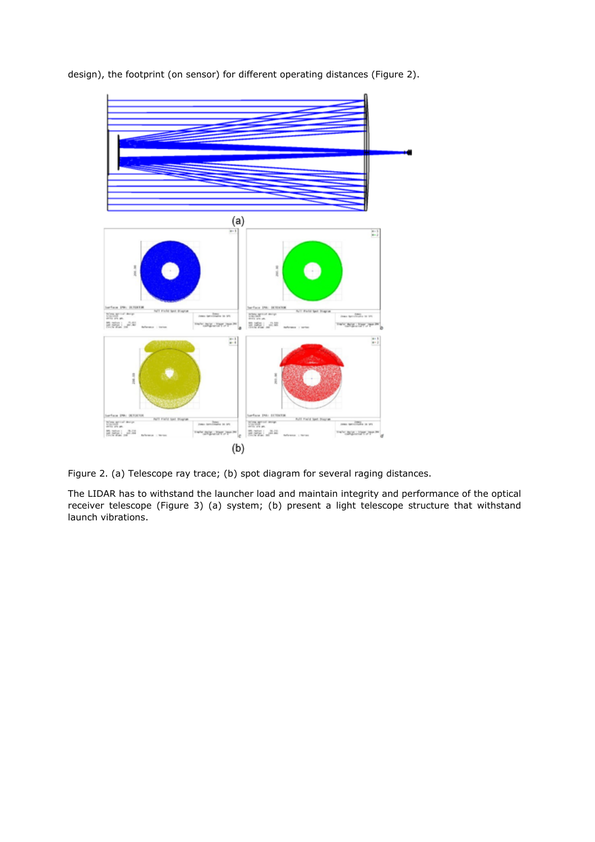design), the footprint (on sensor) for different operating distances (Figure 2).



Figure 2. (a) Telescope ray trace; (b) spot diagram for several raging distances.

The LIDAR has to withstand the launcher load and maintain integrity and performance of the optical receiver telescope (Figure 3) (a) system; (b) present a light telescope structure that withstand launch vibrations.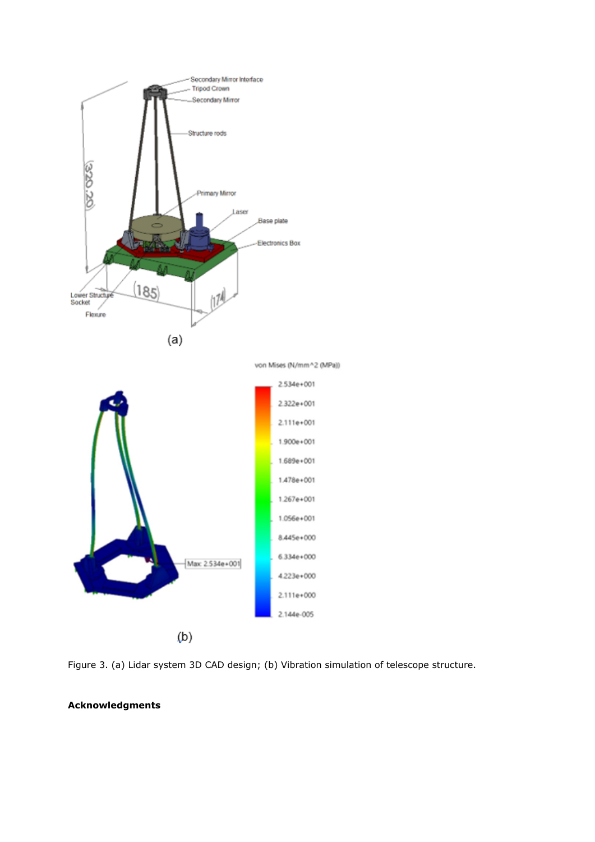

Figure 3. (a) Lidar system 3D CAD design; (b) Vibration simulation of telescope structure.

## **Acknowledgments**